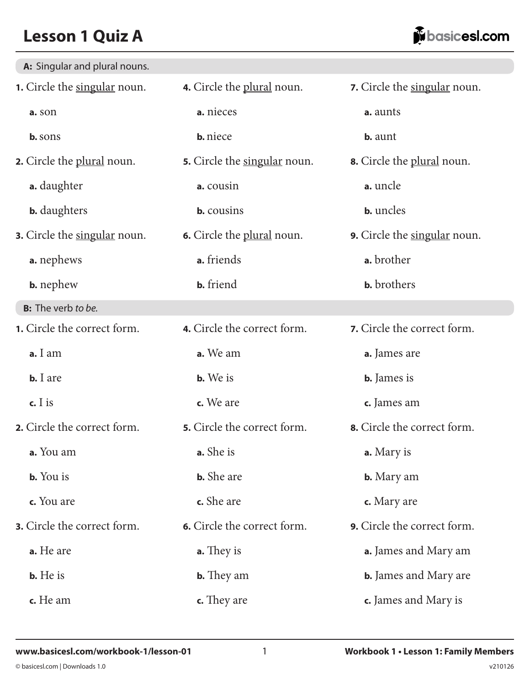| A: Singular and plural nouns.       |                              |                                     |
|-------------------------------------|------------------------------|-------------------------------------|
| 1. Circle the singular noun.        | 4. Circle the plural noun.   | 7. Circle the singular noun.        |
| a. son                              | a. nieces                    | a. aunts                            |
| b. sons                             | <b>b.</b> niece              | <b>b.</b> aunt                      |
| <b>2.</b> Circle the plural noun.   | 5. Circle the singular noun. | <b>8.</b> Circle the plural noun.   |
| <b>a.</b> daughter                  | a. cousin                    | a. uncle                            |
| <b>b.</b> daughters                 | <b>b.</b> cousins            | <b>b.</b> uncles                    |
| <b>3.</b> Circle the singular noun. | 6. Circle the plural noun.   | <b>9.</b> Circle the singular noun. |
| a. nephews                          | a. friends                   | a. brother                          |
| <b>b.</b> nephew                    | <b>b.</b> friend             | <b>b.</b> brothers                  |
| <b>B:</b> The verb to be.           |                              |                                     |
| 1. Circle the correct form.         | 4. Circle the correct form.  | 7. Circle the correct form.         |
| a. I am                             | a. We am                     | a. James are                        |
| $b. I are$                          | <b>b.</b> We is              | <b>b.</b> James is                  |
| c. $I$ is                           | c. We are                    | c. James am                         |
| 2. Circle the correct form.         | 5. Circle the correct form.  | 8. Circle the correct form.         |
| a. You am                           | a. She is                    | a. Mary is                          |
| <b>b.</b> You is                    | <b>b.</b> She are            | <b>b.</b> Mary am                   |
| c. You are                          | c. She are                   | c. Mary are                         |
| 3. Circle the correct form.         | 6. Circle the correct form.  | 9. Circle the correct form.         |
| a. He are                           | <b>a.</b> They is            | <b>a.</b> James and Mary am         |
| <b>b.</b> He is                     | <b>b.</b> They am            | <b>b.</b> James and Mary are        |
| c. He am                            | <b>c.</b> They are           | c. James and Mary is                |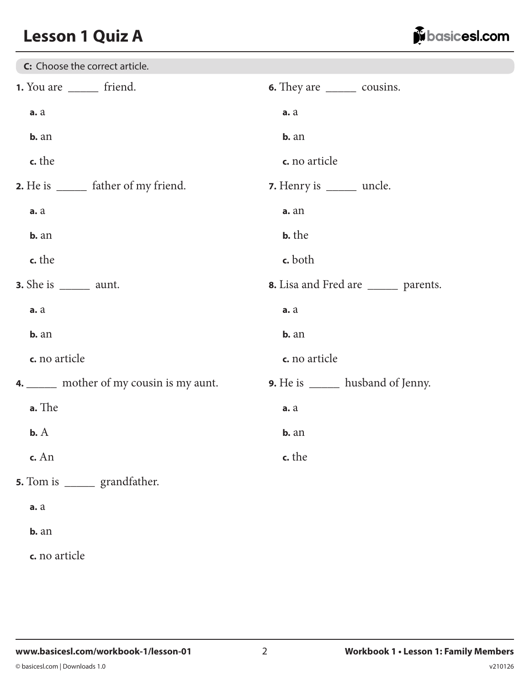

| C: Choose the correct article.            |                                            |
|-------------------------------------------|--------------------------------------------|
| 1. You are ________ friend.               | <b>6.</b> They are _________ cousins.      |
| a. a                                      | a. a                                       |
| $b. an$                                   | $b. an$                                    |
| c. the                                    | c. no article                              |
| 2. He is ________ father of my friend.    | 7. Henry is ______ uncle.                  |
| a. a                                      | a. an                                      |
| $b. an$                                   | <b>b.</b> the                              |
| c. the                                    | c. both                                    |
| <b>3.</b> She is $\_\_\_\_\_\$ aunt.      | 8. Lisa and Fred are _______ parents.      |
| a. a                                      | a. a                                       |
| $b. an$                                   | $b. an$                                    |
| c. no article                             | c. no article                              |
| 4. ______ mother of my cousin is my aunt. | <b>9.</b> He is ________ husband of Jenny. |
| a. The                                    | a. a                                       |
| $b. A$                                    | $b. an$                                    |
| c. An                                     | c. the                                     |
| 5. Tom is ________ grandfather.           |                                            |
| a. a                                      |                                            |
| b. an                                     |                                            |
| c. no article                             |                                            |
|                                           |                                            |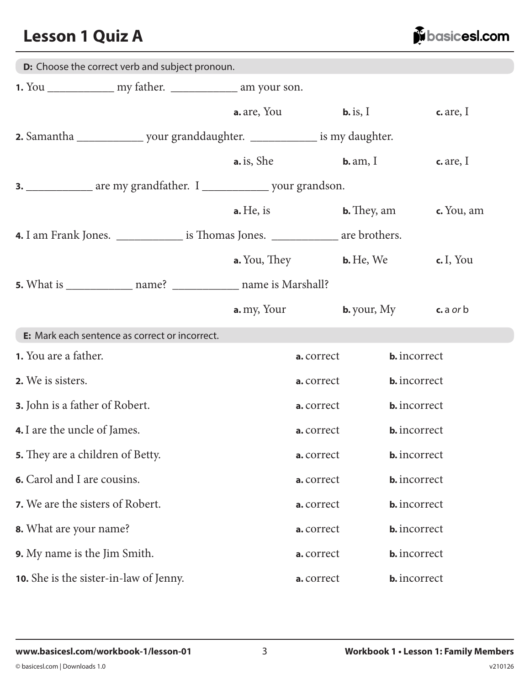juile basicesl.com

| D: Choose the correct verb and subject pronoun.                                            |  |                       |            |                                       |                     |  |
|--------------------------------------------------------------------------------------------|--|-----------------------|------------|---------------------------------------|---------------------|--|
|                                                                                            |  |                       |            |                                       |                     |  |
|                                                                                            |  | <b>a.</b> are, You    |            | $\mathbf{b}$ . is, I                  | $c$ . are, I        |  |
|                                                                                            |  |                       |            |                                       |                     |  |
|                                                                                            |  | a. is, She            |            | $b. am, I$                            | $c$ . are, I        |  |
| 3. ______________ are my grandfather. I ______________ your grandson.                      |  |                       |            |                                       |                     |  |
|                                                                                            |  | $\mathbf{a}$ . He, is |            | $b. They, am$                         | $c$ . You, am       |  |
| <b>4.</b> I am Frank Jones. ________________ is Thomas Jones. ______________ are brothers. |  |                       |            |                                       |                     |  |
|                                                                                            |  | a. You, They          |            | $b. He, We$                           | c. I, You           |  |
|                                                                                            |  |                       |            |                                       |                     |  |
|                                                                                            |  | <b>a.</b> my, Your    |            | <b>b.</b> your, $My$ <b>c.</b> a or b |                     |  |
| E: Mark each sentence as correct or incorrect.                                             |  |                       |            |                                       |                     |  |
| <b>1.</b> You are a father.                                                                |  |                       | a. correct | <b>b.</b> incorrect                   |                     |  |
| 2. We is sisters.                                                                          |  |                       | a. correct |                                       | <b>b.</b> incorrect |  |
| <b>3.</b> John is a father of Robert.                                                      |  |                       | a. correct |                                       | <b>b.</b> incorrect |  |
| <b>4.</b> I are the uncle of James.                                                        |  |                       | a. correct |                                       | <b>b.</b> incorrect |  |
| <b>5.</b> They are a children of Betty.                                                    |  |                       | a. correct |                                       | <b>b.</b> incorrect |  |
| 6. Carol and I are cousins.                                                                |  |                       | a. correct | <b>b.</b> incorrect                   |                     |  |
| 7. We are the sisters of Robert.                                                           |  |                       | a. correct | <b>b.</b> incorrect                   |                     |  |
| 8. What are your name?                                                                     |  |                       | a. correct | <b>b.</b> incorrect                   |                     |  |
| <b>9.</b> My name is the Jim Smith.                                                        |  |                       | a. correct | <b>b.</b> incorrect                   |                     |  |
| <b>10.</b> She is the sister-in-law of Jenny.                                              |  |                       | a. correct | <b>b.</b> incorrect                   |                     |  |